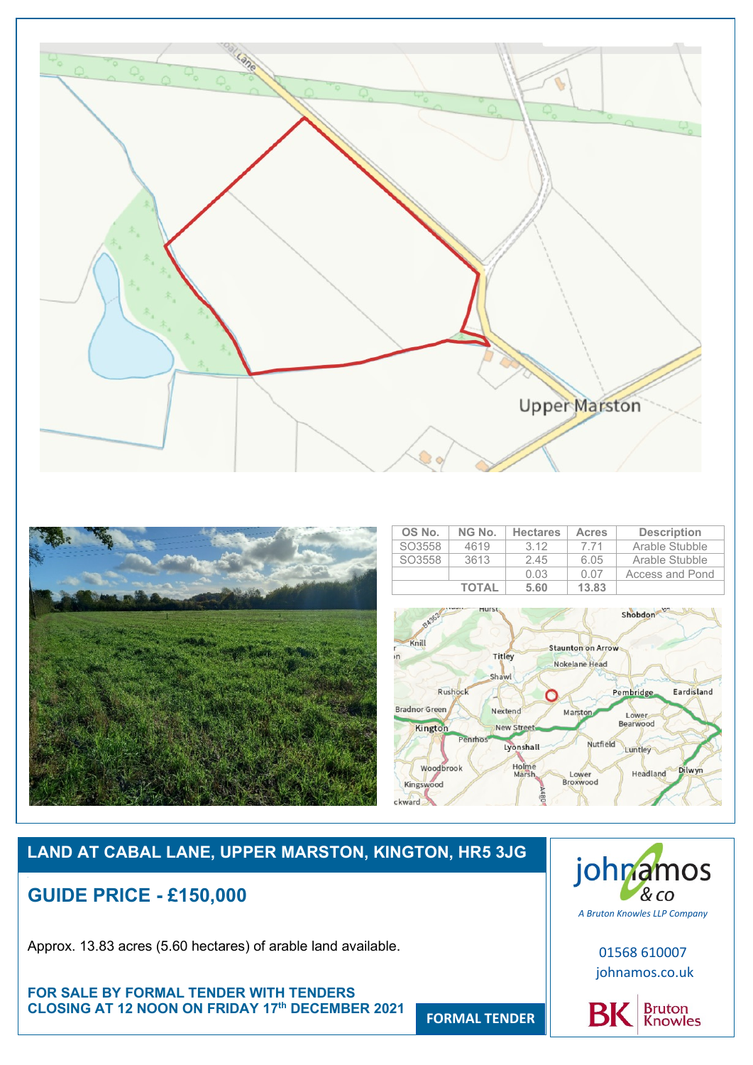



# **LAND AT CABAL LANE, UPPER MARSTON, KINGTON, HR5 3JG**

# **GUIDE PRICE - £150,000**

Approx. 13.83 acres (5.60 hectares) of arable land available.

**FOR SALE BY FORMAL TENDER WITH TENDERS CLOSING AT 12 NOON ON FRIDAY 17th DECEMBER 2021** 



01568 610007 johnamos.co.uk



**FORMAL TENDER**